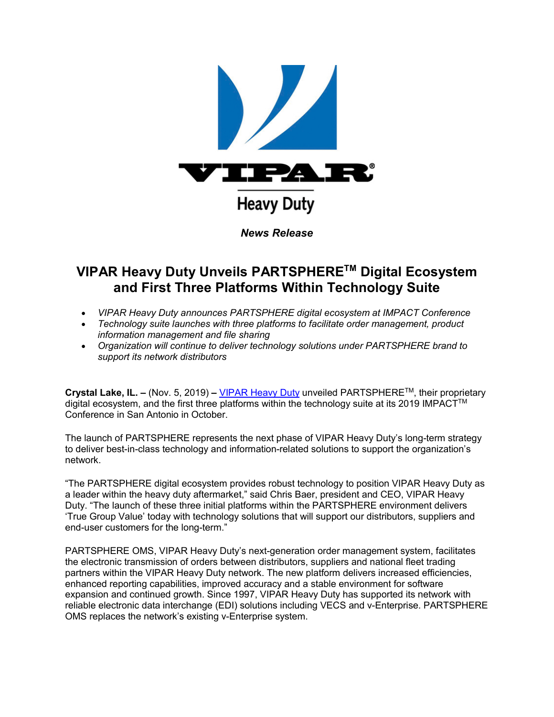

## **VIPAR Heavy Duty Unveils PARTSPHERETM Digital Ecosystem and First Three Platforms Within Technology Suite**

- *VIPAR Heavy Duty announces PARTSPHERE digital ecosystem at IMPACT Conference*
- *Technology suite launches with three platforms to facilitate order management, product information management and file sharing*
- *Organization will continue to deliver technology solutions under PARTSPHERE brand to support its network distributors*

**Crystal Lake, IL. –** (Nov. 5, 2019) **–** [VIPAR Heavy Duty](http://u7061146.ct.sendgrid.net/wf/click?upn=84Em28S1K9SvtzcUtu04ElHBgg-2BS4DVoeCjNOSYO8CA-3D_JUjVqepW325aAn-2B24KesXfkZ4Iken-2F73tm3Sd0jQKbicNmI-2BWuxkVaEjcnBlUl6i-2BwVHPqORp-2FR7FhFeGWETv-2F8gp3uiWNDHgWngVFif5i-2FFsO1-2BUL9Z8RiJLiXTeBeDhkOBVY4wQkKRDla8x0-2Fx-2BKK6pZ8jlQVAoAGq3QXyYk4bTPq96o760Kd-2FapcW28o2HnNqOAlbZpZ-2BbGJYCAraHnVB7B2mZ6K3Y0rGubHapt-2BgF4dw6YCcKyvmcQi2OZXuDqCFdZkfybHYucs34siQN3Ns4XZELGPdwJwtrx3-2BaNN85cc1dKGLCJ5iAQqfIZsb4zFnlCMdt1d2Ej3-2FTOFC-2Bwar2zAC0We0-2FXEpCH4q5ZU-3D) unveiled PARTSPHERETM, their proprietary digital ecosystem, and the first three platforms within the technology suite at its 2019 IMPACT<sup>™</sup> Conference in San Antonio in October.

The launch of PARTSPHERE represents the next phase of VIPAR Heavy Duty's long-term strategy to deliver best-in-class technology and information-related solutions to support the organization's network.

"The PARTSPHERE digital ecosystem provides robust technology to position VIPAR Heavy Duty as a leader within the heavy duty aftermarket," said Chris Baer, president and CEO, VIPAR Heavy Duty. "The launch of these three initial platforms within the PARTSPHERE environment delivers 'True Group Value' today with technology solutions that will support our distributors, suppliers and end-user customers for the long-term."

PARTSPHERE OMS, VIPAR Heavy Duty's next-generation order management system, facilitates the electronic transmission of orders between distributors, suppliers and national fleet trading partners within the VIPAR Heavy Duty network. The new platform delivers increased efficiencies, enhanced reporting capabilities, improved accuracy and a stable environment for software expansion and continued growth. Since 1997, VIPAR Heavy Duty has supported its network with reliable electronic data interchange (EDI) solutions including VECS and v-Enterprise. PARTSPHERE OMS replaces the network's existing v-Enterprise system.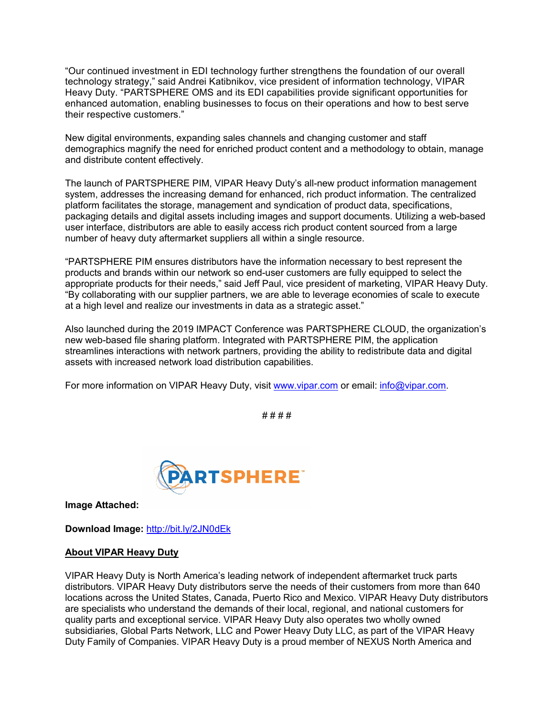"Our continued investment in EDI technology further strengthens the foundation of our overall technology strategy," said Andrei Katibnikov, vice president of information technology, VIPAR Heavy Duty. "PARTSPHERE OMS and its EDI capabilities provide significant opportunities for enhanced automation, enabling businesses to focus on their operations and how to best serve their respective customers."

New digital environments, expanding sales channels and changing customer and staff demographics magnify the need for enriched product content and a methodology to obtain, manage and distribute content effectively.

The launch of PARTSPHERE PIM, VIPAR Heavy Duty's all-new product information management system, addresses the increasing demand for enhanced, rich product information. The centralized platform facilitates the storage, management and syndication of product data, specifications, packaging details and digital assets including images and support documents. Utilizing a web-based user interface, distributors are able to easily access rich product content sourced from a large number of heavy duty aftermarket suppliers all within a single resource.

"PARTSPHERE PIM ensures distributors have the information necessary to best represent the products and brands within our network so end-user customers are fully equipped to select the appropriate products for their needs," said Jeff Paul, vice president of marketing, VIPAR Heavy Duty. "By collaborating with our supplier partners, we are able to leverage economies of scale to execute at a high level and realize our investments in data as a strategic asset."

Also launched during the 2019 IMPACT Conference was PARTSPHERE CLOUD, the organization's new web-based file sharing platform. Integrated with PARTSPHERE PIM, the application streamlines interactions with network partners, providing the ability to redistribute data and digital assets with increased network load distribution capabilities.

For more information on VIPAR Heavy Duty, visit [www.vipar.com](http://u7061146.ct.sendgrid.net/wf/click?upn=84Em28S1K9SvtzcUtu04EjbnGx8EfZIWBs5f-2FLKwVtEsuL5Hs-2Bph1w3ggI6Fg4j2BJr2bKtKqLYmQLIH14tRMjYJdGRIucb04l8ZPL5sSxOZY2qtYHyg-2FF-2FxwQyRtWuW_JUjVqepW325aAn-2B24KesXfkZ4Iken-2F73tm3Sd0jQKbicNmI-2BWuxkVaEjcnBlUl6i-2BwVHPqORp-2FR7FhFeGWETv-2F8gp3uiWNDHgWngVFif5i-2FFsO1-2BUL9Z8RiJLiXTeBeDhkOBVY4wQkKRDla8x0-2Fx-2BKK6pZ8jlQVAoAGq3QXyYk4bTPq96o760Kd-2FapcW28o2923eAPQHQdvuhNYCAUCwjJW508phqgPdluMxgLrBIMjHWdiBB13NxZ1UTi242Ne4BDsQQu6IT7CrAT434TN-2FH1gaD7obyoi5lWtJATsZtF3tB57azCSkZIhTGwwxUvXXOpO-2FVHoAZlLYcokjIwzLEGfsrj13YDoo9JusVwgnTnw-3D) or email: [info@vipar.com.](mailto:info@vipar.com)

# # # #



**Image Attached:**

**Download Image:** [http://bit.ly/2JN0dEk](http://u7061146.ct.sendgrid.net/wf/click?upn=v19UDW8FsixrCS-2Fm9-2By91FUFjpJvHhwp9nMV62GdgPY-3D_JUjVqepW325aAn-2B24KesXfkZ4Iken-2F73tm3Sd0jQKbicNmI-2BWuxkVaEjcnBlUl6i-2BwVHPqORp-2FR7FhFeGWETv-2F8gp3uiWNDHgWngVFif5i-2FFsO1-2BUL9Z8RiJLiXTeBeDhkOBVY4wQkKRDla8x0-2Fx-2BKK6pZ8jlQVAoAGq3QXyYk4bTPq96o760Kd-2FapcW28o2ns3QPrr-2BhkC9NKdu3ZN2bxk5cJnIOWXkdOqhqtBvQBSSJjD-2FlxYA9OUagzAzj-2BXLRGHp86R0PNLsuWMi9K3waK49-2BIsZm-2FWmILfkSqdAIor4LgB0MpJ4Rwy0fo-2FByLwZBKrrHBgNHljUMWOXIecre-2BiR8ZFYLbT5asQR7Gm5MQE-3D)

## **About VIPAR Heavy Duty**

VIPAR Heavy Duty is North America's leading network of independent aftermarket truck parts distributors. VIPAR Heavy Duty distributors serve the needs of their customers from more than 640 locations across the United States, Canada, Puerto Rico and Mexico. VIPAR Heavy Duty distributors are specialists who understand the demands of their local, regional, and national customers for quality parts and exceptional service. VIPAR Heavy Duty also operates two wholly owned subsidiaries, Global Parts Network, LLC and Power Heavy Duty LLC, as part of the VIPAR Heavy Duty Family of Companies. VIPAR Heavy Duty is a proud member of NEXUS North America and